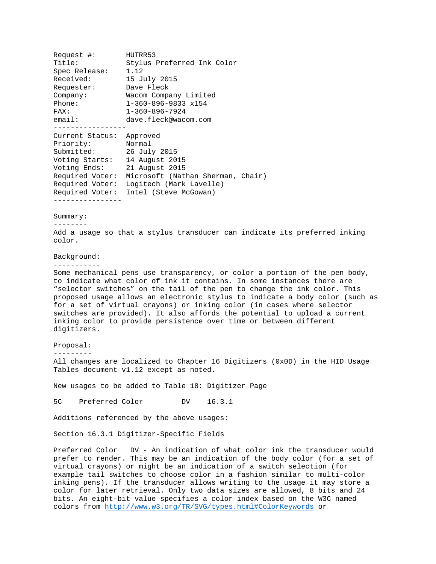```
Request #: HUTRR53 
Title: Stylus Preferred Ink Color 
Spec Release: 1.12 
Received: 15 July 2015 
Requester: Dave Fleck 
Company: Wacom Company Limited 
Phone: 1-360-896-9833 x154 
FAX: 1-360-896-7924 
email: dave.fleck@wacom.com
----------------- 
Current Status: Approved 
Priority: Normal 
Submitted: 26 July 2015 
Voting Starts: 14 August 2015 
Voting Ends: 21 August 2015 
Required Voter: Microsoft (Nathan Sherman, Chair) 
Required Voter: Logitech (Mark Lavelle) 
Required Voter: Intel (Steve McGowan) 
----------------
```
## Summary: --------

Add a usage so that a stylus transducer can indicate its preferred inking color.

## Background:

-----------

Some mechanical pens use transparency, or color a portion of the pen body, to indicate what color of ink it contains. In some instances there are "selector switches" on the tail of the pen to change the ink color. This proposed usage allows an electronic stylus to indicate a body color (such as for a set of virtual crayons) or inking color (in cases where selector switches are provided). It also affords the potential to upload a current inking color to provide persistence over time or between different digitizers.

Proposal:

---------

All changes are localized to Chapter 16 Digitizers (0x0D) in the HID Usage Tables document v1.12 except as noted.

New usages to be added to Table 18: Digitizer Page

5C Preferred Color DV 16.3.1

Additions referenced by the above usages:

Section 16.3.1 Digitizer-Specific Fields

Preferred Color DV - An indication of what color ink the transducer would prefer to render. This may be an indication of the body color (for a set of virtual crayons) or might be an indication of a switch selection (for example tail switches to choose color in a fashion similar to multi-color inking pens). If the transducer allows writing to the usage it may store a color for later retrieval. Only two data sizes are allowed, 8 bits and 24 bits. An eight-bit value specifies a color index based on the W3C named colors from http://www.w3.org/TR/SVG/types.html#ColorKeywords or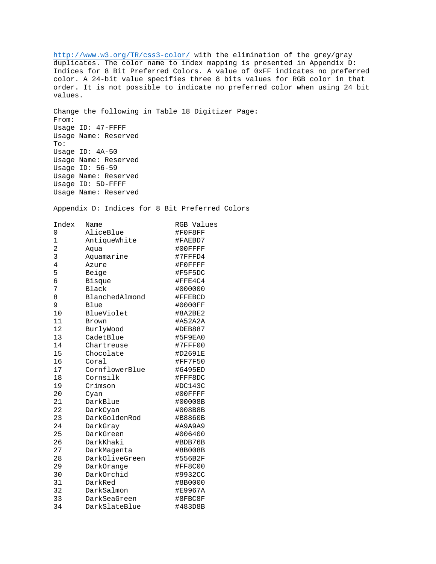http://www.w3.org/TR/css3-color/ with the elimination of the grey/gray duplicates. The color name to index mapping is presented in Appendix D: Indices for 8 Bit Preferred Colors. A value of 0xFF indicates no preferred color. A 24-bit value specifies three 8 bits values for RGB color in that order. It is not possible to indicate no preferred color when using 24 bit values. Change the following in Table 18 Digitizer Page: From: Usage ID: 47-FFFF Usage Name: Reserved To: Usage ID: 4A-50 Usage Name: Reserved Usage ID: 56-59 Usage Name: Reserved Usage ID: 5D-FFFF Usage Name: Reserved Appendix D: Indices for 8 Bit Preferred Colors Index Name RGB Values 0 AliceBlue #F0F8FF 1 AntiqueWhite #FAEBD7 2 Aqua +00FFFF 3 Aquamarine #7FFFD4 4 Azure #F0FFFF 5 Beige #F5F5DC 6 Bisque #FFE4C4 7 Black #000000 8 BlanchedAlmond #FFEBCD<br>9 Blue #0000FF #0000FF 10 BlueViolet #8A2BE2 11 Brown #A52A2A 12 BurlyWood #DEB887 13 CadetBlue **#5F9EA0** 14 Chartreuse #7FFF00 15 Chocolate #D2691E 16 Coral #FF7F50 17 CornflowerBlue #6495ED 18 Cornsilk #FFF8DC 19 Crimson #DC143C 20 Cyan #00FFFF 21 DarkBlue #00008B 22 DarkCyan #008B8B 23 DarkGoldenRod #B8860B 24 DarkGray #A9A9A9 25 DarkGreen #006400 26 DarkKhaki #BDB76B 27 DarkMagenta #8B008B 28 DarkOliveGreen #556B2F 29 DarkOrange #FF8C00 30 DarkOrchid #9932CC 31 DarkRed #8B0000

32 DarkSalmon #E9967A 33 DarkSeaGreen #8FBC8F 34 DarkSlateBlue #483D8B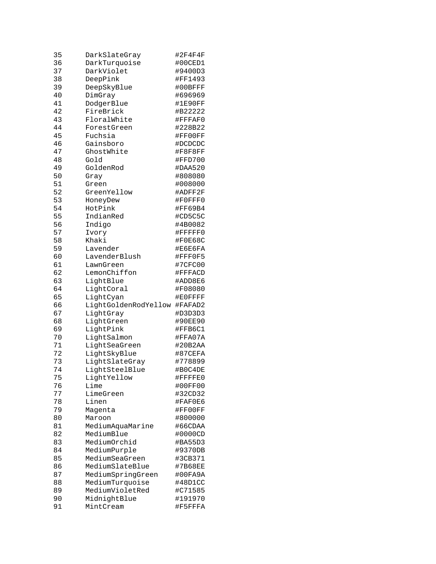| 35 | DarkSlateGray        | #2F4F4F |
|----|----------------------|---------|
| 36 | DarkTurquoise        | #00CED1 |
| 37 | DarkViolet           | #9400D3 |
| 38 | DeepPink             | #FF1493 |
| 39 | DeepSkyBlue          | #00BFFF |
| 40 | DimGray              | #696969 |
| 41 | DodgerBlue           | #1E90FF |
| 42 | FireBrick            | #B22222 |
| 43 | FloralWhite          | #FFFAF0 |
| 44 | ForestGreen          | #228B22 |
| 45 | Fuchsia              | #FF00FF |
| 46 | Gainsboro            | #DCDCDC |
| 47 | GhostWhite           | #F8F8FF |
| 48 | Gold                 | #FFD700 |
| 49 | GoldenRod            | #DAA520 |
| 50 | Gray                 | #808080 |
| 51 | Green                | #008000 |
| 52 | GreenYellow          | #ADFF2F |
| 53 | HoneyDew             | #F0FFF0 |
| 54 | HotPink              | #FF69B4 |
| 55 | IndianRed            | #CD5C5C |
| 56 |                      |         |
|    | Indigo               | #4B0082 |
| 57 | Ivory                | #FFFFF0 |
| 58 | Khaki                | #F0E68C |
| 59 | Lavender             | #E6E6FA |
| 60 | LavenderBlush        | #FFF0F5 |
| 61 | LawnGreen            | #7CFC00 |
| 62 | LemonChiffon         | #FFFACD |
| 63 | LightBlue            | #ADD8E6 |
| 64 | LightCoral           | #F08080 |
| 65 | LightCyan            | #E0FFFF |
| 66 | LightGoldenRodYellow | #FAFAD2 |
| 67 | LightGray            | #D3D3D3 |
| 68 | LightGreen           | #90EE90 |
| 69 | LightPink            | #FFB6C1 |
| 70 | LightSalmon          | #FFA07A |
| 71 | LightSeaGreen        | #20B2AA |
| 72 | LightSkyBlue         | #87CEFA |
| 73 | LightSlateGray       | #778899 |
| 74 | LightSteelBlue       | #B0C4DE |
| 75 | LightYellow          | #FFFFE0 |
| 76 | Lime                 | #00FF00 |
| 77 | LimeGreen            | #32CD32 |
| 78 | Linen                | #FAF0E6 |
| 79 | Magenta              | #FF00FF |
| 80 | Maroon               | #800000 |
| 81 | MediumAquaMarine     | #66CDAA |
| 82 | MediumBlue           | #0000CD |
| 83 | MediumOrchid         | #BA55D3 |
| 84 | MediumPurple         | #9370DB |
| 85 | MediumSeaGreen       | #3CB371 |
| 86 | MediumSlateBlue      | #7B68EE |
| 87 | MediumSpringGreen    | #00FA9A |
| 88 | MediumTurquoise      | #48D1CC |
| 89 | MediumVioletRed      | #C71585 |
| 90 | MidnightBlue         | #191970 |
| 91 | MintCream            | #F5FFFA |
|    |                      |         |